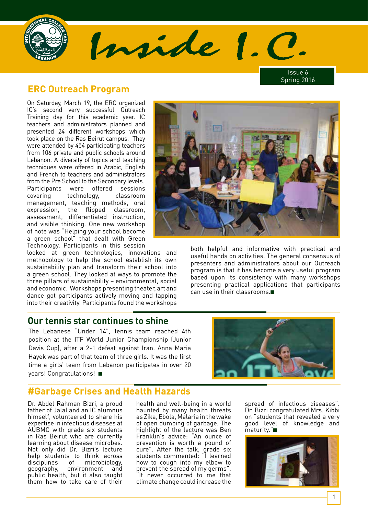

Issue 6 Spring 2016

# **ERC Outreach Program**

On Saturday, March 19, the ERC organized IC's second very successful Outreach Training day for this academic year. IC teachers and administrators planned and presented 24 different workshops which took place on the Ras Beirut campus. They were attended by 454 participating teachers from 106 private and public schools around Lebanon. A diversity of topics and teaching techniques were offered in Arabic, English and French to teachers and administrators from the Pre School to the Secondary levels. Participants were offered sessions covering technology, classroom management, teaching methods, oral expression, the flipped classroom, assessment, differentiated instruction, and visible thinking. One new workshop of note was "Helping your school become a green school" that dealt with Green Technology. Participants in this session

looked at green technologies, innovations and methodology to help the school establish its own sustainability plan and transform their school into a green school. They looked at ways to promote the three pillars of sustainability – environmental, social and economic. Workshops presenting theater, art and dance got participants actively moving and tapping into their creativity. Participants found the workshops

#### **Our tennis star continues to shine**

The Lebanese "Under 14", tennis team reached 4th position at the ITF World Junior Championship (Junior Davis Cup), after a 2-1 defeat against Iran. Anna Maria Hayek was part of that team of three girls. It was the first time a girls' team from Lebanon participates in over 20 years! Congratulations! ■



#### **#Garbage Crises and Health Hazards**

Dr. Abdel Rahman Bizri, a proud father of Jalal and an IC alumnus himself, volunteered to share his expertise in infectious diseases at AUBMC with grade six students in Ras Beirut who are currently learning about disease microbes. Not only did Dr. Bizri's lecture help students to think across<br>disciplines of microbiology, of microbiology, geography, environment and public health, but it also taught them how to take care of their

health and well-being in a world haunted by many health threats as Zika, Ebola, Malaria in the wake of open dumping of garbage. The highlight of the lecture was Ben Franklin's advice: "An ounce of prevention is worth a pound of cure". After the talk, grade six students commented: "I learned how to cough into my elbow to prevent the spread of my germs". "It never occurred to me that climate change could increase the

Inside 1. C

spread of infectious diseases". Dr. Bizri congratulated Mrs. Kibbi on "students that revealed a very good level of knowledge and maturity."■



both helpful and informative with practical and useful hands on activities. The general consensus of presenters and administrators about our Outreach program is that it has become a very useful program based upon its consistency with many workshops presenting practical applications that participants can use in their classrooms.■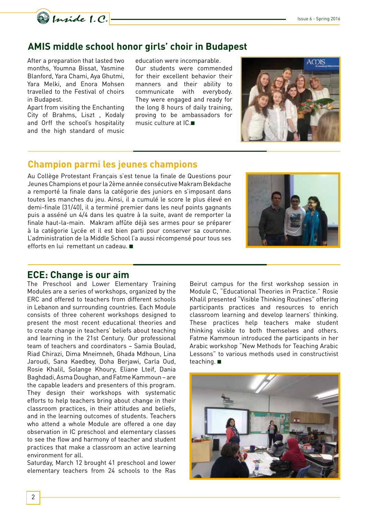

#### **AMIS middle school honor girls' choir in Budapest**

After a preparation that lasted two months, Youmna Bissat, Yasmine Blanford, Yara Chami, Aya Ghutmi, Yara Melki, and Enora Mohsen travelled to the Festival of choirs in Budapest.

Apart from visiting the Enchanting City of Brahms, Liszt , Kodaly and Orff the school's hospitality and the high standard of music

education were incomparable. Our students were commended for their excellent behavior their manners and their ability to communicate with everybody. They were engaged and ready for the long 8 hours of daily training, proving to be ambassadors for music culture at IC.■



#### **Champion parmi les jeunes champions**

Au Collège Protestant Français s'est tenue la finale de Questions pour Jeunes Champions et pour la 2ème année consécutive Makram Bekdache a remporté la finale dans la catégorie des juniors en s'imposant dans toutes les manches du jeu. Ainsi, il a cumulé le score le plus élevé en demi-finale (31/40), il a terminé premier dans les neuf points gagnants puis a asséné un 4/4 dans les quatre à la suite, avant de remporter la finale haut-la-main. Makram affûte déjà ses armes pour se préparer à la catégorie Lycée et il est bien parti pour conserver sa couronne. L'administration de la Middle School l'a aussi récompensé pour tous ses efforts en lui remettant un cadeau. ■



#### **ECE: Change is our aim**

The Preschool and Lower Elementary Training Modules are a series of workshops, organized by the ERC and offered to teachers from different schools in Lebanon and surrounding countries. Each Module consists of three coherent workshops designed to present the most recent educational theories and to create change in teachers' beliefs about teaching and learning in the 21st Century. Our professional team of teachers and coordinators – Samia Boulad, Riad Chirazi, Dima Mneimneh, Ghada Mdhoun, Lina Jaroudi, Sana Kaedbey, Doha Berjawi, Carla Oud, Rosie Khalil, Solange Khoury, Eliane Lteif, Dania Baghdadi, Asma Doughan, and Fatme Kammoun – are the capable leaders and presenters of this program. They design their workshops with systematic efforts to help teachers bring about change in their classroom practices, in their attitudes and beliefs, and in the learning outcomes of students. Teachers who attend a whole Module are offered a one day observation in IC preschool and elementary classes to see the flow and harmony of teacher and student practices that make a classroom an active learning environment for all.

Saturday, March 12 brought 41 preschool and lower elementary teachers from 24 schools to the Ras

Beirut campus for the first workshop session in Module C, "Educational Theories in Practice." Rosie Khalil presented "Visible Thinking Routines" offering participants practices and resources to enrich classroom learning and develop learners' thinking. These practices help teachers make student thinking visible to both themselves and others. Fatme Kammoun introduced the participants in her Arabic workshop "New Methods for Teaching Arabic Lessons" to various methods used in constructivist teaching. ■

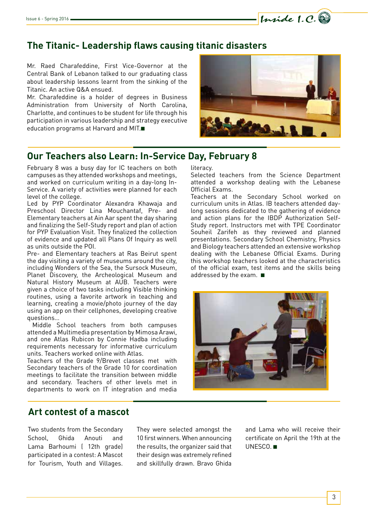# **The Titanic- Leadership flaws causing titanic disasters**

Mr. Raed Charafeddine, First Vice-Governor at the Central Bank of Lebanon talked to our graduating class about leadership lessons learnt from the sinking of the Titanic. An active Q&A ensued.

Mr. Charafeddine is a holder of degrees in Business Administration from University of North Carolina, Charlotte, and continues to be student for life through his participation in various leadership and strategy executive education programs at Harvard and MIT.■



Inside 1.C.

# **Our Teachers also Learn: In-Service Day, February 8**

February 8 was a busy day for IC teachers on both campuses as they attended workshops and meetings, and worked on curriculum writing in a day-long In-Service. A variety of activities were planned for each level of the college.

Led by PYP Coordinator Alexandra Khawaja and Preschool Director Lina Mouchantaf, Pre- and Elementary teachers at Ain Aar spent the day sharing and finalizing the Self-Study report and plan of action for PYP Evaluation Visit. They finalized the collection of evidence and updated all Plans Of Inquiry as well as units outside the POI.

Pre- and Elementary teachers at Ras Beirut spent the day visiting a variety of museums around the city, including Wonders of the Sea, the Sursock Museum, Planet Discovery, the Archeological Museum and Natural History Museum at AUB. Teachers were given a choice of two tasks including Visible thinking routines, using a favorite artwork in teaching and learning, creating a movie/photo journey of the day using an app on their cellphones, developing creative questions…

 Middle School teachers from both campuses attended a Multimedia presentation by Mimosa Arawi, and one Atlas Rubicon by Connie Hadba including requirements necessary for informative curriculum units. Teachers worked online with Atlas.

Teachers of the Grade 9/Brevet classes met with Secondary teachers of the Grade 10 for coordination meetings to facilitate the transition between middle and secondary. Teachers of other levels met in departments to work on IT integration and media literacy.

Selected teachers from the Science Department attended a workshop dealing with the Lebanese Official Exams.

Teachers at the Secondary School worked on curriculum units in Atlas. IB teachers attended daylong sessions dedicated to the gathering of evidence and action plans for the IBDP Authorization Self-Study report. Instructors met with TPE Coordinator Souheil Zarifeh as they reviewed and planned presentations. Secondary School Chemistry, Physics and Biology teachers attended an extensive workshop dealing with the Lebanese Official Exams. During this workshop teachers looked at the characteristics of the official exam, test items and the skills being addressed by the exam. ■



#### **Art contest of a mascot**

Two students from the Secondary School, Ghida Anouti and Lama Barhoumi ( 12th grade) participated in a contest: A Mascot for Tourism, Youth and Villages.

They were selected amongst the 10 first winners. When announcing the results, the organizer said that their design was extremely refined and skillfully drawn. Bravo Ghida

and Lama who will receive their certificate on April the 19th at the UNESCO. ■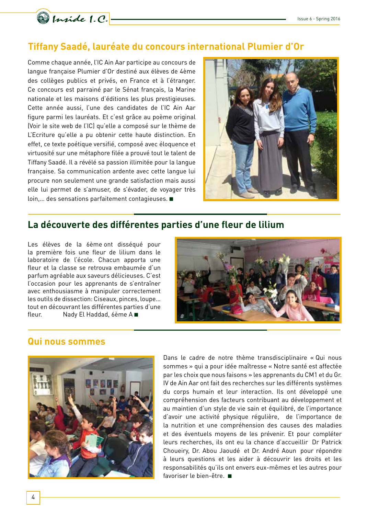

# **Tiffany Saadé, lauréate du concours international Plumier d'Or**

Comme chaque année, l'IC Ain Aar participe au concours de langue française Plumier d'Or destiné aux élèves de 4ème des collèges publics et privés, en France et à l'étranger. Ce concours est parrainé par le Sénat français, la Marine nationale et les maisons d'éditions les plus prestigieuses. Cette année aussi, l'une des candidates de l'IC Ain Aar figure parmi les lauréats. Et c'est grâce au poème original (Voir le site web de l'IC) qu'elle a composé sur le thème de L'Ecriture qu'elle a pu obtenir cette haute distinction. En effet, ce texte poétique versifié, composé avec éloquence et virtuosité sur une métaphore filée a prouvé tout le talent de Tiffany Saadé. Il a révélé sa passion illimitée pour la langue française. Sa communication ardente avec cette langue lui procure non seulement une grande satisfaction mais aussi elle lui permet de s'amuser, de s'évader, de voyager très loin,… des sensations parfaitement contagieuses. ■



# **La découverte des différentes parties d'une fleur de lilium**

Les élèves de la 6ème ont disséqué pour la première fois une fleur de lilium dans le laboratoire de l'école. Chacun apporta une fleur et la classe se retrouva embaumée d'un parfum agréable aux saveurs délicieuses. C'est l'occasion pour les apprenants de s'entraîner avec enthousiasme à manipuler correctement les outils de dissection: Ciseaux, pinces, loupe… tout en découvrant les différentes parties d'une fleur. Nady El Haddad, 6ème A ■



## **Qui nous sommes**



Dans le cadre de notre thème transdisciplinaire « Qui nous sommes » qui a pour idée maîtresse « Notre santé est affectée par les choix que nous faisons » les apprenants du CM1 et du Gr. IV de Ain Aar ont fait des recherches sur les différents systèmes du corps humain et leur interaction. Ils ont développé une compréhension des facteurs contribuant au développement et au maintien d'un style de vie sain et équilibré, de l'importance d'avoir une activité physique régulière, de l'importance de la nutrition et une compréhension des causes des maladies et des éventuels moyens de les prévenir. Et pour compléter leurs recherches, ils ont eu la chance d'accueillir Dr Patrick Choueiry, Dr. Abou Jaoudé et Dr. André Aoun pour répondre à leurs questions et les aider à découvrir les droits et les responsabilités qu'ils ont envers eux-mêmes et les autres pour favoriser le bien-être. ■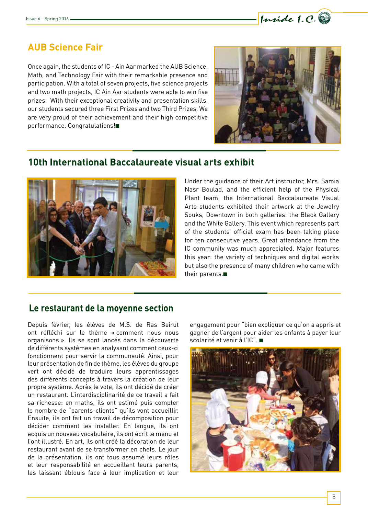

# **AUB Science Fair**

Once again, the students of IC - Ain Aar marked the AUB Science, Math, and Technology Fair with their remarkable presence and participation. With a total of seven projects, five science projects and two math projects, IC Ain Aar students were able to win five prizes. With their exceptional creativity and presentation skills, our students secured three First Prizes and two Third Prizes. We are very proud of their achievement and their high competitive performance. Congratulations!■



# **10th International Baccalaureate visual arts exhibit**



Under the guidance of their Art instructor, Mrs. Samia Nasr Boulad, and the efficient help of the Physical Plant team, the International Baccalaureate Visual Arts students exhibited their artwork at the Jewelry Souks, Downtown in both galleries: the Black Gallery and the White Gallery. This event which represents part of the students' official exam has been taking place for ten consecutive years. Great attendance from the IC community was much appreciated. Major features this year: the variety of techniques and digital works but also the presence of many children who came with their parents.■

#### **Le restaurant de la moyenne section**

Depuis février, les élèves de M.S. de Ras Beirut ont réfléchi sur le thème « comment nous nous organisons ». Ils se sont lancés dans la découverte de différents systèmes en analysant comment ceux-ci fonctionnent pour servir la communauté. Ainsi, pour leur présentation de fin de thème, les élèves du groupe vert ont décidé de traduire leurs apprentissages des différents concepts à travers la création de leur propre système. Après le vote, ils ont décidé de créer un restaurant. L'interdisciplinarité de ce travail a fait sa richesse: en maths, ils ont estimé puis compter le nombre de "parents-clients" qu'ils vont accueillir. Ensuite, ils ont fait un travail de décomposition pour décider comment les installer. En langue, ils ont acquis un nouveau vocabulaire, ils ont écrit le menu et l'ont illustré. En art, ils ont créé la décoration de leur restaurant avant de se transformer en chefs. Le jour de la présentation, ils ont tous assumé leurs rôles et leur responsabilité en accueillant leurs parents, les laissant éblouis face à leur implication et leur

engagement pour "bien expliquer ce qu'on a appris et gagner de l'argent pour aider les enfants à payer leur scolarité et venir à l'IC". ■

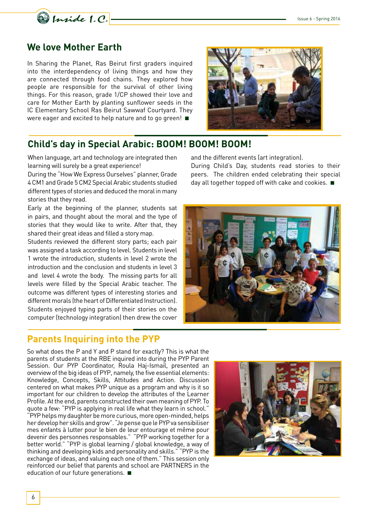

# **We love Mother Earth**

In Sharing the Planet, Ras Beirut first graders inquired into the interdependency of living things and how they are connected through food chains. They explored how people are responsible for the survival of other living things. For this reason, grade 1/CP showed their love and care for Mother Earth by planting sunflower seeds in the IC Elementary School Ras Beirut Sawwaf Courtyard. They were eager and excited to help nature and to go green! ■



# **Child's day in Special Arabic: BOOM! BOOM! BOOM!**

When language, art and technology are integrated then learning will surely be a great experience!

During the "How We Express Ourselves" planner, Grade 4 CM1 and Grade 5 CM2 Special Arabic students studied different types of stories and deduced the moral in many stories that they read.

Early at the beginning of the planner, students sat in pairs, and thought about the moral and the type of stories that they would like to write. After that, they shared their great ideas and filled a story map.

Students reviewed the different story parts; each pair was assigned a task according to level. Students in level 1 wrote the introduction, students in level 2 wrote the introduction and the conclusion and students in level 3 and level 4 wrote the body. The missing parts for all levels were filled by the Special Arabic teacher. The outcome was different types of interesting stories and different morals (the heart of Differentiated Instruction). Students enjoyed typing parts of their stories on the computer (technology integration) then drew the cover

#### **Parents Inquiring into the PYP**

and the different events (art integration).

During Child's Day, students read stories to their peers. The children ended celebrating their special day all together topped off with cake and cookies. ■



So what does the P and Y and P stand for exactly? This is what the parents of students at the RBE inquired into during the PYP Parent Session. Our PYP Coordinator, Roula Haj-Ismail, presented an overview of the big ideas of PYP, namely, the five essential elements: Knowledge, Concepts, Skills, Attitudes and Action. Discussion centered on what makes PYP unique as a program and why is it so important for our children to develop the attributes of the Learner Profile. At the end, parents constructed their own meaning of PYP. To quote a few: "PYP is applying in real life what they learn in school." "PYP helps my daughter be more curious, more open-minded, helps her develop her skills and grow". "Je pense que le PYP va sensibiliser mes enfants à lutter pour le bien de leur entourage et même pour devenir des personnes responsables." "PYP working together for a better world." "PYP is global learning / global knowledge, a way of thinking and developing kids and personality and skills." "PYP is the exchange of ideas, and valuing each one of them." This session only reinforced our belief that parents and school are PARTNERS in the education of our future generations. ■

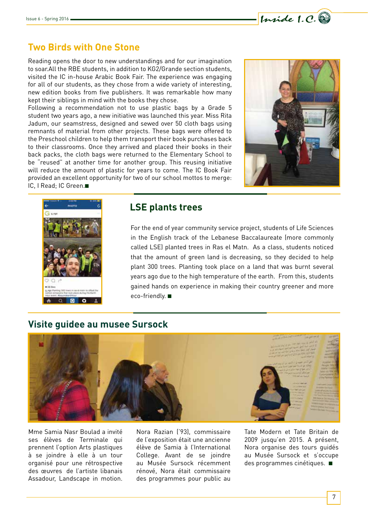# **Two Birds with One Stone**

Reading opens the door to new understandings and for our imagination to soar.All the RBE students, in addition to KG2/Grande section students, visited the IC in-house Arabic Book Fair. The experience was engaging for all of our students, as they chose from a wide variety of interesting, new edition books from five publishers. It was remarkable how many kept their siblings in mind with the books they chose.

Following a recommendation not to use plastic bags by a Grade 5 student two years ago, a new initiative was launched this year. Miss Rita Jadum, our seamstress, designed and sewed over 50 cloth bags using remnants of material from other projects. These bags were offered to the Preschool children to help them transport their book purchases back to their classrooms. Once they arrived and placed their books in their back packs, the cloth bags were returned to the Elementary School to be "reused" at another time for another group. This reusing initiative will reduce the amount of plastic for years to come. The IC Book Fair provided an excellent opportunity for two of our school mottos to merge: IC, I Read; IC Green.■



Inside 1.C.



# **LSE plants trees**

For the end of year community service project, students of Life Sciences in the English track of the Lebanese Baccalaureate (more commonly called LSE) planted trees in Ras el Matn. As a class, students noticed that the amount of green land is decreasing, so they decided to help plant 300 trees. Planting took place on a land that was burnt several years ago due to the high temperature of the earth. From this, students gained hands on experience in making their country greener and more eco-friendly. ■

# **Visite guidee au musee Sursock**



Mme Samia Nasr Boulad a invité ses élèves de Terminale qui prennent l'option Arts plastiques à se joindre à elle à un tour organisé pour une rétrospective des œuvres de l'artiste libanais Assadour, Landscape in motion.

Nora Razian ('93), commissaire de l'exposition était une ancienne élève de Samia à l'International College. Avant de se joindre au Musée Sursock récemment rénové, Nora était commissaire des programmes pour public au

Tate Modern et Tate Britain de 2009 jusqu'en 2015. A présent, Nora organise des tours guidés au Musée Sursock et s'occupe des programmes cinétiques. ■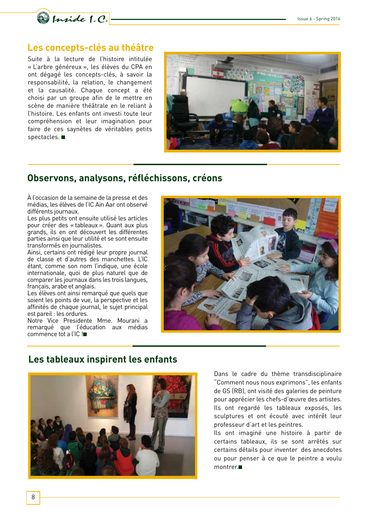

#### **Les concepts-clés au théâtre**

Suite à la lecture de l'histoire intitulée « L'arbre généreux », les élèves du CPA en ont dégagé les concepts-clés, à savoir la responsabilité, la relation, le changement et la causalité. Chaque concept a été choisi par un groupe afin de le mettre en scène de manière théâtrale en le reliant à l'histoire. Les enfants ont investi toute leur compréhension et leur imagination pour faire de ces saynètes de véritables petits spectacles. ■



#### **Observons, analysons, réfléchissons, créons**

À l'occasion de la semaine de la presse et des médias, les élèves de l'IC Ain Aar ont observé différents journaux.

Les plus petits ont ensuite utilisé les articles pour créer des « tableaux ». Quant aux plus grands, ils en ont découvert les différentes parties ainsi que leur utilité et se sont ensuite transformés en journalistes.

Ainsi, certains ont rédigé leur propre journal de classe et d'autres des manchettes. L'IC étant, comme son nom l'indique, une école internationale, quoi de plus naturel que de comparer les journaux dans les trois langues, français, arabe et anglais.

Les élèves ont ainsi remarqué que quels que soient les points de vue, la perspective et les affinités de chaque journal, le sujet principal est pareil : les ordures.

Notre Vice Presidente Mme. Mourani a remarqué que l'éducation aux médias commence tot a l'IC !■



#### **Les tableaux inspirent les enfants**



Dans le cadre du thème transdisciplinaire "Comment nous nous exprimons", les enfants de GS (RB), ont visité des galeries de peinture pour apprécier les chefs-d'œuvre des artistes. Ils ont regardé les tableaux exposés, les sculptures et ont écouté avec intérêt leur professeur d'art et les peintres.

Ils ont imaginé une histoire à partir de certains tableaux, ils se sont arrêtés sur certains détails pour inventer des anecdotes ou pour penser à ce que le peintre a voulu montrer.■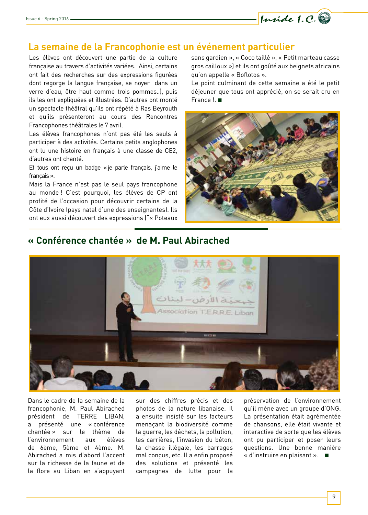

#### **La semaine de la Francophonie est un événement particulier**

Les élèves ont découvert une partie de la culture française au travers d'activités variées. Ainsi, certains ont fait des recherches sur des expressions figurées dont regorge la langue française, se noyer dans un verre d'eau, être haut comme trois pommes..), puis ils les ont expliquées et illustrées. D'autres ont monté un spectacle théâtral qu'ils ont répété à Ras Beyrouth et qu'ils présenteront au cours des Rencontres Francophones théâtrales le 7 avril.

Les élèves francophones n'ont pas été les seuls à participer à des activités. Certains petits anglophones ont lu une histoire en français à une classe de CE2, d'autres ont chanté.

Et tous ont reçu un badge «je parle français, j'aime le français».

Mais la France n'est pas le seul pays francophone au monde ! C'est pourquoi, les élèves de CP ont profité de l'occasion pour découvrir certains de la Côte d'Ivoire (pays natal d'une des enseignantes). Ils ont eux aussi découvert des expressions ("« Poteaux sans gardien », « Coco taillé », « Petit marteau casse gros cailloux ») et ils ont goûté aux beignets africains qu'on appelle « Boflotos ».

Le point culminant de cette semaine a été le petit déjeuner que tous ont apprécié, on se serait cru en France !. ■



# **« Conférence chantée » de M. Paul Abirached**



Dans le cadre de la semaine de la francophonie, M. Paul Abirached président de TERRE LIBAN, a présenté une « conférence chantée » sur le thème de l'environnement aux élèves de 6ème, 5ème et 4ème. M. Abirached a mis d'abord l'accent sur la richesse de la faune et de la flore au Liban en s'appuyant

sur des chiffres précis et des photos de la nature libanaise. Il a ensuite insisté sur les facteurs menaçant la biodiversité comme la guerre, les déchets, la pollution, les carrières, l'invasion du béton, la chasse illégale, les barrages mal conçus, etc. Il a enfin proposé des solutions et présenté les campagnes de lutte pour la préservation de l'environnement qu'il mène avec un groupe d'ONG. La présentation était agrémentée de chansons, elle était vivante et interactive de sorte que les élèves ont pu participer et poser leurs questions. Une bonne manière « d'instruire en plaisant ». ■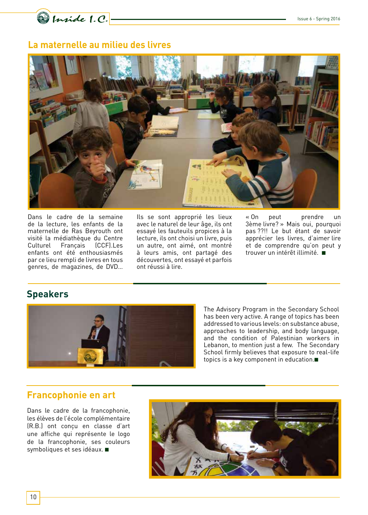Quide 1.C.

# **La maternelle au milieu des livres**



Dans le cadre de la semaine de la lecture, les enfants de la maternelle de Ras Beyrouth ont visité la médiathèque du Centre Culturel Français (CCF).Les enfants ont été enthousiasmés par ce lieu rempli de livres en tous genres, de magazines, de DVD… Ils se sont approprié les lieux avec le naturel de leur âge, ils ont essayé les fauteuils propices à la lecture, ils ont choisi un livre, puis un autre, ont aimé, ont montré à leurs amis, ont partagé des découvertes, ont essayé et parfois ont réussi à lire.

« On peut prendre un 3ème livre? » Mais oui, pourquoi pas ??!! Le but étant de savoir apprécier les livres, d'aimer lire et de comprendre qu'on peut y trouver un intérêt illimité. ■

# **Speakers**



The Advisory Program in the Secondary School has been very active. A range of topics has been addressed to various levels: on substance abuse, approaches to leadership, and body language, and the condition of Palestinian workers in Lebanon, to mention just a few. The Secondary School firmly believes that exposure to real-life topics is a key component in education.■

#### **Francophonie en art**

Dans le cadre de la francophonie, les élèves de l'école complémentaire (R.B.) ont conçu en classe d'art une affiche qui représente le logo de la francophonie, ses couleurs symboliques et ses idéaux. ■

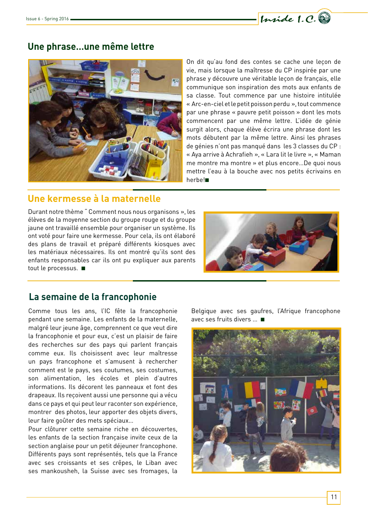

#### **Une phrase…une même lettre**



On dit qu'au fond des contes se cache une leçon de vie, mais lorsque la maîtresse du CP inspirée par une phrase y découvre une véritable leçon de français, elle communique son inspiration des mots aux enfants de sa classe. Tout commence par une histoire intitulée « Arc-en-ciel et le petit poisson perdu », tout commence par une phrase « pauvre petit poisson » dont les mots commencent par une même lettre. L'idée de génie surgit alors, chaque élève écrira une phrase dont les mots débutent par la même lettre. Ainsi les phrases de génies n'ont pas manqué dans les 3 classes du CP : « Aya arrive à Achrafieh », « Lara lit le livre », « Maman me montre ma montre » et plus encore…De quoi nous mettre l'eau à la bouche avec nos petits écrivains en herbe!■

# **Une kermesse à la maternelle**

Durant notre thème " Comment nous nous organisons », les élèves de la moyenne section du groupe rouge et du groupe jaune ont travaillé ensemble pour organiser un système. Ils ont voté pour faire une kermesse. Pour cela, ils ont élaboré des plans de travail et préparé différents kiosques avec les matériaux nécessaires. Ils ont montré qu'ils sont des enfants responsables car ils ont pu expliquer aux parents tout le processus. ■



# **La semaine de la francophonie**

Comme tous les ans, l'IC fête la francophonie pendant une semaine. Les enfants de la maternelle, malgré leur jeune âge, comprennent ce que veut dire la francophonie et pour eux, c'est un plaisir de faire des recherches sur des pays qui parlent français comme eux. Ils choisissent avec leur maîtresse un pays francophone et s'amusent à rechercher comment est le pays, ses coutumes, ses costumes, son alimentation, les écoles et plein d'autres informations. Ils décorent les panneaux et font des drapeaux. Ils reçoivent aussi une personne qui a vécu dans ce pays et qui peut leur raconter son expérience, montrer des photos, leur apporter des objets divers, leur faire goûter des mets spéciaux…

Pour clôturer cette semaine riche en découvertes, les enfants de la section française invite ceux de la section anglaise pour un petit déjeuner francophone. Différents pays sont représentés, tels que la France avec ses croissants et ses crêpes, le Liban avec ses mankousheh, la Suisse avec ses fromages, la Belgique avec ses gaufres, l'Afrique francophone avec ses fruits divers … ■

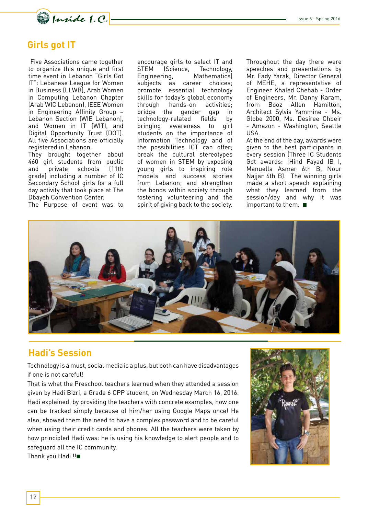

# **Girls got IT**

 Five Associations came together to organize this unique and first time event in Lebanon "Girls Got IT": Lebanese League for Women in Business (LLWB), Arab Women in Computing Lebanon Chapter (Arab WIC Lebanon), IEEE Women in Engineering Affinity Group – Lebanon Section (WIE Lebanon), and Women in IT (WIT), and Digital Opportunity Trust (DOT). All five Associations are officially registered in Lebanon.

They brought together about 460 girl students from public<br>and private schools (11th and private schools (11th grade) including a number of IC Secondary School girls for a full day activity that took place at The Dbayeh Convention Center.

The Purpose of event was to

encourage girls to select IT and<br>STEM (Science. Technology. Technology,<br>Mathematics) Engineering, subjects as career choices; promote essential technology skills for today's global economy through hands-on activities; bridge the gender gap in technology-related fields by bringing awareness to girl students on the importance of Information Technology and of the possibilities ICT can offer; break the cultural stereotypes of women in STEM by exposing young girls to inspiring role models and success stories from Lebanon; and strengthen the bonds within society through fostering volunteering and the spirit of giving back to the society. Throughout the day there were speeches and presentations by Mr. Fady Yarak, Director General of MEHE, a representative of Engineer Khaled Chehab - Order of Engineers, Mr. Danny Karam, from Booz Allen Hamilton, Architect Sylvia Yammine - Ms. Globe 2000, Ms. Desiree Chbeir - Amazon - Washington, Seattle USA.

At the end of the day, awards were given to the best participants in every session (Three IC Students Got awards: (Hind Fayad IB I, Manuella Asmar 6th B, Nour Najjar 6th B). The winning girls made a short speech explaining what they learned from the session/day and why it was important to them. ■



#### **Hadi's Session**

Technology is a must, social media is a plus, but both can have disadvantages if one is not careful!

That is what the Preschool teachers learned when they attended a session given by Hadi Bizri, a Grade 6 CPP student, on Wednesday March 16, 2016. Hadi explained, by providing the teachers with concrete examples, how one can be tracked simply because of him/her using Google Maps once! He also, showed them the need to have a complex password and to be careful when using their credit cards and phones. All the teachers were taken by how principled Hadi was: he is using his knowledge to alert people and to safeguard all the IC community.

Thank you Hadi !!■

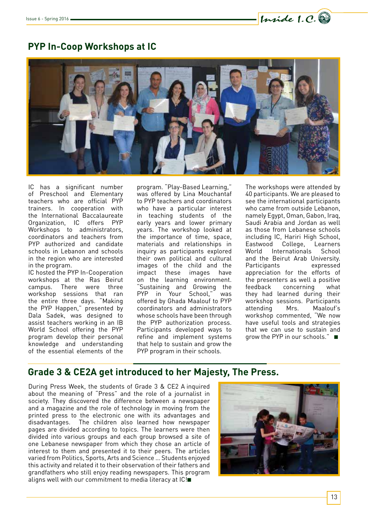

# **PYP In-Coop Workshops at IC**



IC has a significant number of Preschool and Elementary teachers who are official PYP trainers. In cooperation with the International Baccalaureate Organization, IC offers PYP Workshops to administrators, coordinators and teachers from PYP authorized and candidate schools in Lebanon and schools in the region who are interested in the program.

IC hosted the PYP In-Cooperation workshops at the Ras Beirut campus. There were three workshop sessions that ran the entire three days. "Making the PYP Happen," presented by Dala Sadek, was designed to assist teachers working in an IB World School offering the PYP program develop their personal knowledge and understanding of the essential elements of the

program. "Play-Based Learning," was offered by Lina Mouchantaf to PYP teachers and coordinators who have a particular interest in teaching students of the early years and lower primary years. The workshop looked at the importance of time, space, materials and relationships in inquiry as participants explored their own political and cultural images of the child and the impact these images have on the learning environment. "Sustaining and Growing the PYP in Your School," was offered by Ghada Maalouf to PYP coordinators and administrators whose schools have been through the PYP authorization process. Participants developed ways to refine and implement systems that help to sustain and grow the PYP program in their schools.

The workshops were attended by 40 participants. We are pleased to see the international participants who came from outside Lebanon. namely Egypt, Oman, Gabon, Iraq, Saudi Arabia and Jordan as well as those from Lebanese schools including IC, Hariri High School, Eastwood College, Learners Internationals and the Beirut Arab University. Participants expressed appreciation for the efforts of the presenters as well a positive feedback concerning what they had learned during their workshop sessions. Participants attending Mrs. Maalouf's workshop commented, "We now have useful tools and strategies that we can use to sustain and grow the PYP in our schools." ■

# **Grade 3 & CE2A get introduced to her Majesty, The Press.**

During Press Week, the students of Grade 3 & CE2 A inquired about the meaning of "Press" and the role of a journalist in society. They discovered the difference between a newspaper and a magazine and the role of technology in moving from the printed press to the electronic one with its advantages and disadvantages. The children also learned how newspaper pages are divided according to topics. The learners were then divided into various groups and each group browsed a site of one Lebanese newspaper from which they chose an article of interest to them and presented it to their peers. The articles varied from Politics, Sports, Arts and Science … Students enjoyed this activity and related it to their observation of their fathers and grandfathers who still enjoy reading newspapers. This program aligns well with our commitment to media literacy at IC!■

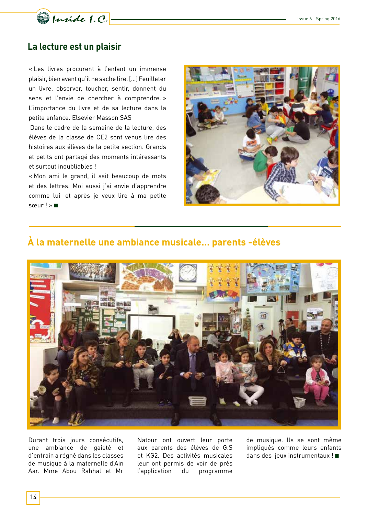

#### **La lecture est un plaisir**

« Les livres procurent à l'enfant un immense plaisir, bien avant qu'il ne sache lire. […] Feuilleter un livre, observer, toucher, sentir, donnent du sens et l'envie de chercher à comprendre. » L'importance du livre et de sa lecture dans la petite enfance. Elsevier Masson SAS

Dans le cadre de la semaine de la lecture, des élèves de la classe de CE2 sont venus lire des histoires aux élèves de la petite section. Grands et petits ont partagé des moments intéressants et surtout inoubliables !

« Mon ami le grand, il sait beaucoup de mots et des lettres. Moi aussi j'ai envie d'apprendre comme lui et après je veux lire à ma petite sœur ! » ■



## **À la maternelle une ambiance musicale… parents -élèves**



Durant trois jours consécutifs, une ambiance de gaieté et d'entrain a régné dans les classes de musique à la maternelle d'Ain Aar. Mme Abou Rahhal et Mr

Natour ont ouvert leur porte aux parents des élèves de G.S et KG2. Des activités musicales leur ont permis de voir de près l'application du programme

de musique. Ils se sont même impliqués comme leurs enfants dans des jeux instrumentaux ! ■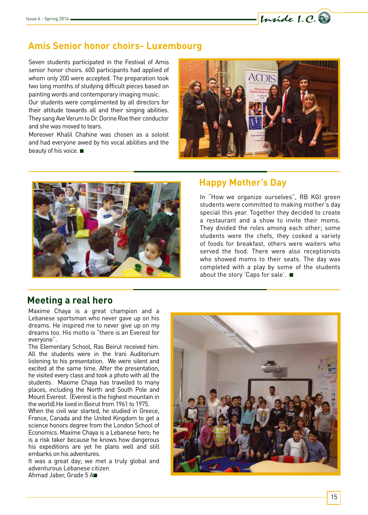# **Amis Senior honor choirs- Luxembourg**

Seven students participated in the Festival of Amis senior honor choirs. 600 participants had applied of whom only 200 were accepted. The preparation took two long months of studying difficult pieces based on painting words and contemporary imaging music.

Our students were complimented by all directors for their attitude towards all and their singing abilities. They sang Ave Verum to Dr. Dorine Roe their conductor and she was moved to tears.

Moreover Khalil Chahine was chosen as a soloist and had everyone awed by his vocal abilities and the beauty of his voice. ■



Inside 1.C.



#### **Happy Mother's Day**

In "How we organize ourselves", RB KGI green students were committed to making mother's day special this year. Together they decided to create a restaurant and a show to invite their moms. They divided the roles among each other; some students were the chefs, they cooked a variety of foods for breakfast, others were waiters who served the food. There were also receptionists who showed moms to their seats. The day was completed with a play by some of the students about the story 'Caps for sale'. ■

#### **Meeting a real hero**

Maxime Chaya is a great champion and a Lebanese sportsman who never gave up on his dreams. He inspired me to never give up on my dreams too. His motto is "there is an Everest for everyone".

The Elementary School, Ras Beirut received him. All the students were in the Irani Auditorium listening to his presentation. We were silent and excited at the same time. After the presentation, he visited every class and took a photo with all the students. Maxime Chaya has travelled to many places, including the North and South Pole and Mount Everest. (Everest is the highest mountain in the world).He lived in Beirut from 1961 to 1975.

When the civil war started, he studied in Greece, France, Canada and the United Kingdom to get a science honors degree from the London School of Economics. Maxime Chaya is a Lebanese hero; he is a risk taker because he knows how dangerous his expeditions are yet he plans well and still embarks on his adventures.

It was a great day; we met a truly global and adventurous Lebanese citizen Ahmad Jaber, Grade 5 A■